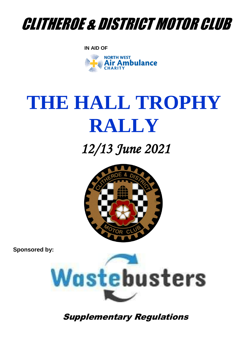

**IN AID OF**



# **THE HALL TROPHY RALLY**

## *12/13 June 2021*



**Sponsored by:**



Supplementary Regulations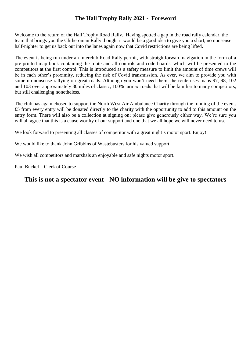### **The Hall Trophy Rally 2021 - Foreword**

Welcome to the return of the Hall Trophy Road Rally. Having spotted a gap in the road rally calendar, the team that brings you the Clitheronian Rally thought it would be a good idea to give you a short, no nonsense half-nighter to get us back out into the lanes again now that Covid restrictions are being lifted.

The event is being run under an Interclub Road Rally permit, with straightforward navigation in the form of a pre-printed map book containing the route and all controls and code boards, which will be presented to the competitors at the first control. This is introduced as a safety measure to limit the amount of time crews will be in each other's proximity, reducing the risk of Covid transmission. As ever, we aim to provide you with some no-nonsense rallying on great roads. Although you won't need them, the route uses maps 97, 98, 102 and 103 over approximately 80 miles of classic, 100% tarmac roads that will be familiar to many competitors, but still challenging nonetheless.

The club has again chosen to support the North West Air Ambulance Charity through the running of the event. £5 from every entry will be donated directly to the charity with the opportunity to add to this amount on the entry form. There will also be a collection at signing on; please give generously either way. We're sure you will all agree that this is a cause worthy of our support and one that we all hope we will never need to use.

We look forward to presenting all classes of competitor with a great night's motor sport. Enjoy!

We would like to thank John Gribbins of Wastebusters for his valued support.

We wish all competitors and marshals an enjoyable and safe nights motor sport.

Paul Buckel – Clerk of Course

## **This is not a spectator event - NO information will be give to spectators**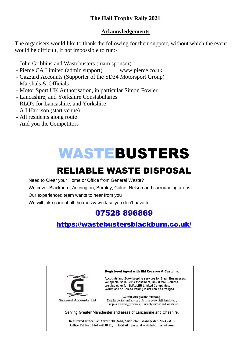## **The Hall Trophy Rally 2021**

### **Acknowledgements**

The organisers would like to thank the following for their support, without which the event would be difficult, if not impossible to run:-

- John Gribbins and Wastebusters (main sponsor)
- Pierce CA Limited (admin support) [www.pierce.co.uk](http://www.pierce.co.uk/)
- Gazzard Accounts (Supporter of the SD34 Motorsport Group)
- Marshals & Officials
- Motor Sport UK Authorisation, in particular Simon Fowler
- Lancashire, and Yorkshire Constabularies
- RLO's for Lancashire, and Yorkshire
- A I Harrison (start venue)
- All residents along route
- And you the Competitors

## WASTEBUSTERS

## RELIABLE WASTE DISPOSAL

Need to Clear your Home or Office from General Waste?

We cover Blackburn, Accrington, Burnley, Colne, Nelson and surrounding areas.

Our experienced team wants to hear from you

We will take care of all the messy work so you don't have to

## [07528 896869](https://www.google.co.uk/search?q=wastebusters+blackburn&sxsrf=ALeKk02yxRSPzOnOw6_EJLKpscGpB4IdZw%3A1616346958344&source=hp&ei=Tn9XYL6zEp3QgweFy6fIDA&iflsig=AINFCbYAAAAAYFeNXtlzgTgdzknpgNWFDvQWplqtcIZL&gs_ssp=eJzj4tVP1zc0TDMwSSlKz6syYLRSNagwsTBPskw1S0xKTkpNtDQ0tjKoMEpMSzM1sDBPNTY1sDQ0NPQSK08sLklNKgUSRcUKSTmJydlJpUV5AIUEGGg&oq=wASTEBUSTERS&gs_lcp=Cgdnd3Mtd2l6EAEYATICCAAyCAguEMcBEK8BMgIIADIICC4QxwEQrwEyAggAMggILhDHARCvATIICC4QxwEQrwEyCAguEMcBEK8BMggILhDHARCvATICCAA6BAgjECc6CAgAELEDEIMBOg4ILhCxAxCDARDHARCjAjoICC4QsQMQgwE6BQgAELEDOgsILhCxAxDHARCjAjoFCC4QsQM6AgguOggIABCxAxDJAzoFCAAQkgM6BAgAEAo6BAguEApQvA1YhD1gilJoAHAAeACAAWyIAeAIkgEDNy41mAEAoAEBqgEHZ3dzLXdpeg&sclient=gws-wiz)

## <https://wastebustersblackburn.co.uk/>

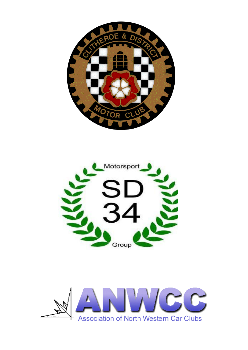



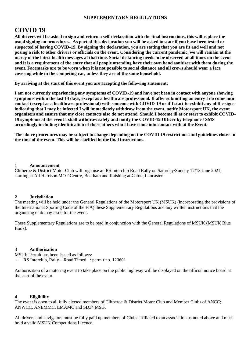#### **SUPPLEMENTARY REGULATIONS**

## **COVID 19**

**All drivers will be asked to sign and return a self-declaration with the final instructions, this will replace the usual signing on procedures. As part of this declaration you will be asked to state if you have been tested or suspected of having COVID-19. By signing the declaration, you are stating that you are fit and well and not posing a risk to other drivers or officials on the event. Considering the current pandemic, we will remain at the mercy of the latest health messages at that time. Social distancing needs to be observed at all times on the event and it is a requirement of the entry that all people attending have their own hand sanitiser with them during the event. Facemasks are to be worn when it is not possible to social distance and all crews should wear a face covering while in the competing car, unless they are of the same household.** 

**By arriving at the start of this event you are accepting the following statement:**

**I am not currently experiencing any symptoms of COVID-19 and have not been in contact with anyone showing symptoms within the last 14 days, except as a healthcare professional. If after submitting an entry I do come into contact (except as a healthcare professional) with someone with COVID-19 or if I start to exhibit any of the signs indicating that I may be infected I will immediately withdraw from the event, notify Motorsport UK, the event organisers and ensure that my close contacts also do not attend. Should I become ill at or start to exhibit COVID-19 symptoms at the event I shall withdraw safely and notify the COVID-19 Officer by telephone / SMS accordingly including identification of those others who I have come into contact with at the Event.**

**The above procedures may be subject to change depending on the COVID 19 restrictions and guidelines closer to the time of the event. This will be clarified in the final instructions.**

#### **1 Announcement**

Clitheroe & District Motor Club will organise an RS Interclub Road Rally on Saturday/Sunday 12/13 June 2021, starting at A I Harrison MOT Centre, Bentham and finishing at Caton, Lancaster.

#### **2 Jurisdiction**

The meeting will be held under the General Regulations of the Motorsport UK (MSUK) (incorporating the provisions of the International Sporting Code of the FIA) these Supplementary Regulations and any written instructions that the organising club may issue for the event.

These Supplementary Regulations are to be read in conjunction with the General Regulations of MSUK (MSUK Blue Book).

#### **3 Authorisation**

MSUK Permit has been issued as follows:

RS Interclub, Rally – Road Timed : permit no. 120601

Authorisation of a motoring event to take place on the public highway will be displayed on the official notice board at the start of the event.

#### **4 Eligibility**

The event is open to all fully elected members of Clitheroe & District Motor Club and Member Clubs of ANCC; ANWCC, ANEMMC, EMAMC and SD34 MSG.

All drivers and navigators must be fully paid up members of Clubs affiliated to an association as noted above and must hold a valid MSUK Competitions Licence.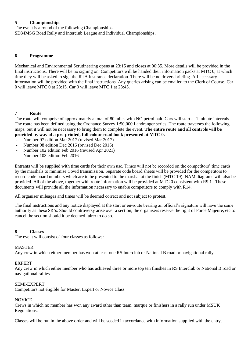#### **5 Championships**

The event is a round of the following Championships:

SD34MSG Road Rally and Interclub League and Individual Championships,

#### **6 Programme**

Mechanical and Environmental Scrutineering opens at 23:15 and closes at 00:35. More details will be provided in the final instructions. There will be no signing on. Competitors will be handed their information packs at MTC 0, at which time they will be asked to sign the RTA insurance declaration. There will be no drivers briefing. All necessary information will be provided with the final instructions. Any queries arising can be emailed to the Clerk of Course. Car 0 will leave MTC 0 at 23:15. Car 0 will leave MTC 1 at 23:45.

#### 7 **Route**

The route will comprise of approximately a total of 80 miles with NO petrol halt. Cars will start at 1 minute intervals. The route has been defined using the Ordnance Survey 1:50,000 Landranger series. The route traverses the following maps, but it will not be necessary to bring them to complete the event. **The entire route and all controls will be provided by way of a pre-printed, full colour road book presented at MTC 0.**

- Number 97 edition Mar 2017 (revised Mar 2017)
- Number 98 edition Dec 2016 (revised Dec 2016)
- Number 102 edition Feb 2016 (revised Apr 2021)
- Number 103 edition Feb 2016

Entrants will be supplied with time cards for their own use. Times will not be recorded on the competitors' time cards by the marshals to minimise Covid transmission. Separate code board sheets will be provided for the competitors to record code board numbers which are to be presented to the marshal at the finish (MTC 19). NAM diagrams will also be provided. All of the above, together with route information will be provided at MTC 0 consistent with R9.1. These documents will provide all the information necessary to enable competitors to comply with R14.

All organiser mileages and times will be deemed correct and not subject to protest.

The final instructions and any notice displayed at the start or en-route bearing an official's signature will have the same authority as these SR's. Should controversy arise over a section, the organisers reserve the right of Force Majeure, etc to cancel the section should it be deemed fairer to do so.

#### **8 Classes**

The event will consist of four classes as follows:

#### MASTER

Any crew in which either member has won at least one RS Interclub or National B road or navigational rally

#### EXPERT

Any crew in which either member who has achieved three or more top ten finishes in RS Interclub or National B road or navigational rallies

#### SEMI-EXPERT

Competitors not eligible for Master, Expert or Novice Class

#### **NOVICE**

Crews in which no member has won any award other than team, marque or finishers in a rally run under MSUK Regulations.

Classes will be run in the above order and will be seeded in accordance with information supplied with the entry.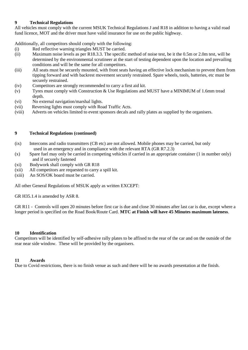#### **9 Technical Regulations**

All vehicles must comply with the current MSUK Technical Regulations J and R18 in addition to having a valid road fund licence, MOT and the driver must have valid insurance for use on the public highway.

Additionally, all competitors should comply with the following:

- (i) Red reflective warning triangles MUST be carried.
- (ii) Maximum noise levels as per R18.3.3. The specific method of noise test, be it the 0.5m or 2.0m test, will be determined by the environmental scrutineer at the start of testing dependent upon the location and prevailing conditions and will be the same for all competitors.
- (iii) All seats must be securely mounted, with front seats having an effective lock mechanism to prevent them from tipping forward and with backrest movement securely restrained. Spare wheels, tools, batteries, etc must be securely restrained.
- (iv) Competitors are strongly recommended to carry a first aid kit.
- (v) Tyres must comply with Construction & Use Regulations and MUST have a MINIMUM of 1.6mm tread depth.
- (vi) No external navigation/marshal lights.
- (vii) Reversing lights must comply with Road Traffic Acts.
- (viii) Adverts on vehicles limited to event sponsors decals and rally plates as supplied by the organisers.

#### **9 Technical Regulations (continued)**

- (ix) Intercoms and radio transmitters (CB etc) are not allowed. Mobile phones may be carried, but only used in an emergency and in compliance with the relevant RTA (GR R7.2.3)
- (x) Spare fuel may only be carried in competing vehicles if carried in an appropriate container (1 in number only) and if securely fastened
- (xi) Bodywork shall comply with GR R18
- (xii) All competitors are requested to carry a spill kit.
- (xiii) An SOS/OK board must be carried.

All other General Regulations of MSUK apply as written EXCEPT:

GR H35.1.4 is amended by ASR 8.

GR R11 - Controls will open 20 minutes before first car is due and close 30 minutes after last car is due, except where a longer period is specified on the Road Book/Route Card. **MTC at Finish will have 45 Minutes maximum lateness**.

#### **10 Identification**

Competitors will be identified by self-adhesive rally plates to be affixed to the rear of the car and on the outside of the rear near side window. These will be provided by the organisers.

#### **11 Awards**

Due to Covid restrictions, there is no finish venue as such and there will be no awards presentation at the finish.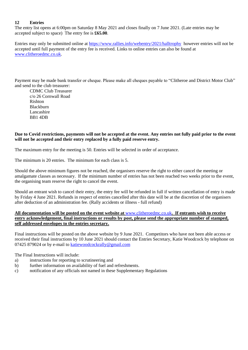#### **12 Entries**

The entry list opens at 6:00pm on Saturday 8 May 2021 and closes finally on 7 June 2021. (Late entries may be accepted subject to space) The entry fee is **£65.00**.

Entries may only be submitted online at <https://www.rallies.info/webentry/2021/halltrophy> however entries will not be accepted until full payment of the entry fee is received. Links to online entries can also be found at [www.clitheroedmc.co.uk.](http://www.clitheroedmc.co.uk/)

Payment may be made bank transfer or cheque. Please make all cheques payable to "Clitheroe and District Motor Club" and send to the club treasurer:

CDMC Club Treasurer c/o 26 Cornwall Road Rishton Blackburn Lancashire BB1 4DB

#### **Due to Covid restrictions, payments will not be accepted at the event. Any entries not fully paid prior to the event will not be accepted and their entry replaced by a fully paid reserve entry.**

The maximum entry for the meeting is 50. Entries will be selected in order of acceptance.

The minimum is 20 entries. The minimum for each class is 5.

Should the above minimum figures not be reached, the organisers reserve the right to either cancel the meeting or amalgamate classes as necessary. If the minimum number of entries has not been reached two weeks prior to the event, the organising team reserve the right to cancel the event.

Should an entrant wish to cancel their entry, the entry fee will be refunded in full if written cancellation of entry is made by Friday 4 June 2021. Refunds in respect of entries cancelled after this date will be at the discretion of the organisers after deduction of an administration fee. (Rally accidents or illness - full refund)

#### **All documentation will be posted on the event website at** [www.clitheroedmc.co.uk](http://www.clitheroedmc.co.uk/)**. If entrants wish to receive entry acknowledgement, final instructions or results by post, please send the appropriate number of stamped, self addressed envelopes to the entries secretary.**

Final instructions will be posted on the above website by 9 June 2021. Competitors who have not been able access or received their final instructions by 10 June 2021 should contact the Entries Secretary, Katie Woodcock by telephone on 07425 879024 or by e-mail to [katiewoodcockrally@gmail.com](mailto:katiewoodcockrally@gmail.com)

The Final Instructions will include:

- a) instructions for reporting to scrutineering and
- b) further information on availability of fuel and refreshments.
- c) notification of any officials not named in these Supplementary Regulations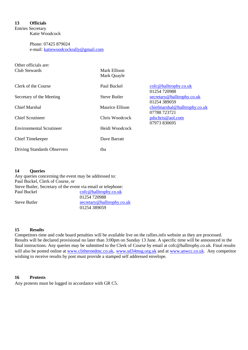#### **13 Officials**

Entries Secretary Katie Woodcock

> Phone: 07425 879024 e-mail: [katiewoodcockrally@gmail.com](mailto:katiewoodcockrally@gmail.com)

| Other officials are:<br>Club Stewards | Mark Ellison<br>Mark Quayle |                                               |
|---------------------------------------|-----------------------------|-----------------------------------------------|
| Clerk of the Course                   | Paul Buckel                 | cofc@halltrophy.co.uk<br>01254 720988         |
| Secretary of the Meeting              | <b>Steve Butler</b>         | secretary@halltrophy.co.uk<br>01254 389059    |
| Chief Marshal                         | Maurice Ellison             | chiefmarshal@halltrophy.co.uk<br>07788 723721 |
| <b>Chief Scrutineer</b>               | Chris Woodcock              | pdschris@aol.com<br>07973 830695              |
| <b>Environmental Scrutineer</b>       | Heidi Woodcock              |                                               |
| <b>Chief Timekeeper</b>               | Dave Barratt                |                                               |
| <b>Driving Standards Observers</b>    | tba                         |                                               |

#### **14 Queries**

Any queries concerning the event may be addressed to: Paul Buckel, Clerk of Course, or Steve Butler, Secretary of the event via email or telephone: Paul Buckel [cofc@halltrophy.co.uk](mailto:cofc@halltrophy.co.uk) 01254 720988 Steve Butler [secretary@halltrophy.co.uk](mailto:secretary@halltrophy.co.uk) 01254 389059

#### **15 Results**

Competitors time and code board penalties will be available live on the rallies.info website as they are processed. Results will be declared provisional no later than 3:00pm on Sunday 13 June. A specific time will be announced in the final instructions. Any queries may be submitted to the Clerk of Course by email at cofc@halltrophy.co.uk. Final results will also be posted online at [www.clitheroedmc.co.uk](http://www.clitheroedmc.co.uk/), [www.sd34msg.org.uk](http://www.sd34msg.org.uk/) and at [www.anwcc.co.uk.](http://www.anwcc.co.uk/) Any competitor wishing to receive results by post must provide a stamped self addressed envelope.

#### **16 Protests**

Any protests must be logged in accordance with GR C5.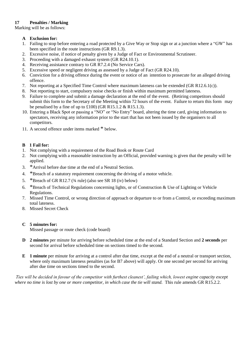#### **17 Penalties / Marking**

Marking will be as follows:

- **A Exclusion for:**
- 1. Failing to stop before entering a road protected by a Give Way or Stop sign or at a junction where a "GW" has been specified in the route instructions (GR R9.1.3).
- 2. Excessive noise, if notice of penalty given by a Judge of Fact or Environmental Scrutineer.
- 3. Proceeding with a damaged exhaust system (GR R24.10.1).
- 4. Receiving assistance contrary to GR R7.2.4 (No Service Cars).
- 5. Excessive speed or negligent driving as assessed by a Judge of Fact (GR R24.10).
- 6. Conviction for a driving offence during the event or notice of an intention to prosecute for an alleged driving offence.
- 7. Not reporting at a Specified Time Control where maximum lateness can be extended (GR R12.6.1(c)).
- 8. Not reporting to start, compulsory noise checks or finish within maximum permitted lateness.
- 9. Failure to complete and submit a damage declaration at the end of the event. (Retiring competitors should submit this form to the Secretary of the Meeting within 72 hours of the event. Failure to return this form may be penalised by a fine of up to £100) (GR R15.1.2  $&$  R15.1.3).
- 10. Entering a Black Spot or passing a "NO" or "No Entry" board, altering the time card, giving information to spectators, receiving any information prior to the start that has not been issued by the organisers to all competitors.
- 11. A second offence under items marked \* below.

#### **B 1 Fail for:**

- 1. Not complying with a requirement of the Road Book or Route Card
- 2. Not complying with a reasonable instruction by an Official, provided warning is given that the penalty will be applied.
- 3. \*Arrival before due time at the end of a Neutral Section.
- 4. \*Breach of a statutory requirement concerning the driving of a motor vehicle.
- 5. \*Breach of GR R12.7  $(3/4 \text{ rule})$  (also see SR 18 (iv) below)
- 6. \*Breach of Technical Regulations concerning lights, or of Construction & Use of Lighting or Vehicle Regulations.
- 7. Missed Time Control, or wrong direction of approach or departure to or from a Control, or exceeding maximum total lateness.
- 8. Missed Secret Check

#### **C 5 minutes for:**

Missed passage or route check (code board)

- **D 2 minutes** per minute for arriving before scheduled time at the end of a Standard Section and **2 seconds** per second for arrival before scheduled time on sections timed to the second.
- **E 1 minute** per minute for arriving at a control after due time, except at the end of a neutral or transport section, where only maximum lateness penalties (as for B7 above) will apply. Or one second per second for arriving after due time on sections timed to the second.

*Ties will be decided in favour of the competitor with furthest cleanest', failing which, lowest engine capacity except where no time is lost by one or more competitor, in which case the tie will stand.* This rule amends GR R15.2.2.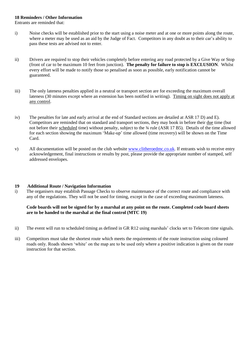#### **18 Reminders / Other Information**

Entrants are reminded that:

- i) Noise checks will be established prior to the start using a noise meter and at one or more points along the route, where a meter may be used as an aid by the Judge of Fact. Competitors in any doubt as to their car's ability to pass these tests are advised not to enter.
- ii) Drivers are required to stop their vehicles completely before entering any road protected by a Give Way or Stop (front of car to be maximum 10 feet from junction). **The penalty for failure to stop is EXCLUSION**. Whilst every effort will be made to notify those so penalised as soon as possible, early notification cannot be guaranteed.
- iii) The only lateness penalties applied in a neutral or transport section are for exceeding the maximum overall lateness (30 minutes except where an extension has been notified in writing). Timing on sight does not apply at any control.
- iv) The penalties for late and early arrival at the end of Standard sections are detailed at ASR 17 D) and E). Competitors are reminded that on standard and transport sections, they may book in before their due time (but not before their scheduled time) without penalty, subject to the  $\frac{3}{4}$  rule (ASR 17 B5). Details of the time allowed for each section showing the maximum 'Make-up' time allowed (time recovery) will be shown on the Time Card.
- v) All documentation will be posted on the club website [www.clitheroedmc.co.uk.](http://www.clitheroedmc.co.uk/) If entrants wish to receive entry acknowledgement, final instructions or results by post, please provide the appropriate number of stamped, self addressed envelopes.

#### **19 Additional Route / Navigation Information**

i) The organisers may establish Passage Checks to observe maintenance of the correct route and compliance with any of the regulations. They will not be used for timing, except in the case of exceeding maximum lateness.

#### **Code boards will not be signed for by a marshal at any point on the route. Completed code board sheets are to be handed to the marshal at the final control (MTC 19)**

- ii) The event will run to scheduled timing as defined in GR R12 using marshals' clocks set to Telecom time signals.
- iii) Competitors must take the shortest route which meets the requirements of the route instruction using coloured roads only. Roads shown 'white' on the map are to be used only where a positive indication is given on the route instruction for that section.